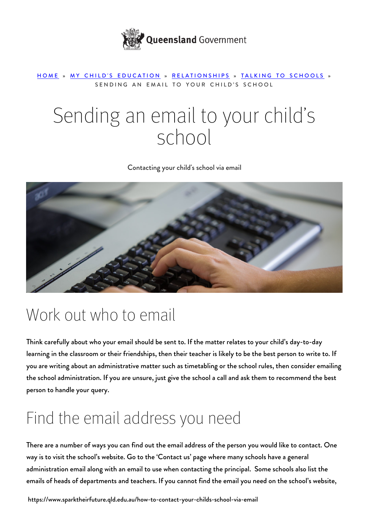

#### [HOME](https://www.sparktheirfuture.qld.edu.au/) » [MY CHILD'S EDUCATION](https://www.sparktheirfuture.qld.edu.au/category/my-childs-school/) » [RELATIONSHIPS](https://www.sparktheirfuture.qld.edu.au/category/my-childs-school/relationships/) » [TALKING TO SCHOOLS](https://www.sparktheirfuture.qld.edu.au/category/my-childs-school/relationships/talking-to-schools/) » SENDING AN EMAIL TO YOUR CHILD'S SCHOOL

# Sending an email to your child's school

Contacting your child's school via email



#### Work out who to email

Think carefully about who your email should be sent to. If the matter relates to your child's day-to-day learning in the classroom or their friendships, then their teacher is likely to be the best person to write to. If you are writing about an administrative matter such as timetabling or the school rules, then consider emailing the school administration. If you are unsure, just give the school a call and ask them to recommend the best person to handle your query.

## Find the email address you need

There are a number of ways you can find out the email address of the person you would like to contact. One way is to visit the school's website. Go to the 'Contact us' page where many schools have a general administration email along with an email to use when contacting the principal. Some schools also list the emails of heads of departments and teachers. If you cannot find the email you need on the school's website,

https://www.sparktheirfuture.qld.edu.au/how-to-contact-your-childs-school-via-email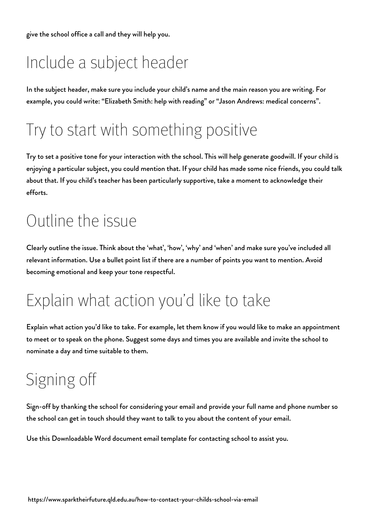give the school office a call and they will help you.

## Include a subject header

In the subject header, make sure you include your child's name and the main reason you are writing. For example, you could write: "Elizabeth Smith: help with reading" or "Jason Andrews: medical concerns".

#### Try to start with something positive

Try to set a positive tone for your interaction with the school. This will help generate goodwill. If your child is enjoying a particular subject, you could mention that. If your child has made some nice friends, you could talk about that. If you child's teacher has been particularly supportive, take a moment to acknowledge their efforts.

#### Outline the issue

Clearly outline the issue. Think about the 'what', 'how', 'why' and 'when' and make sure you've included all relevant information. Use a bullet point list if there are a number of points you want to mention. Avoid becoming emotional and keep your tone respectful.

## Explain what action you'd like to take

Explain what action you'd like to take. For example, let them know if you would like to make an appointment to meet or to speak on the phone. Suggest some days and times you are available and invite the school to nominate a day and time suitable to them.

## Signing off

Sign-off by thanking the school for considering your email and provide your full name and phone number so the school can get in touch should they want to talk to you about the content of your email.

Use this [Downloadable Word document email template for contacting school](https://s3-ap-southeast-2.amazonaws.com/qde-uploads/wp-content/uploads/2020/04/24065312/Downloadable-Word-document-email-template-for-contacting-school.docx) to assist you.